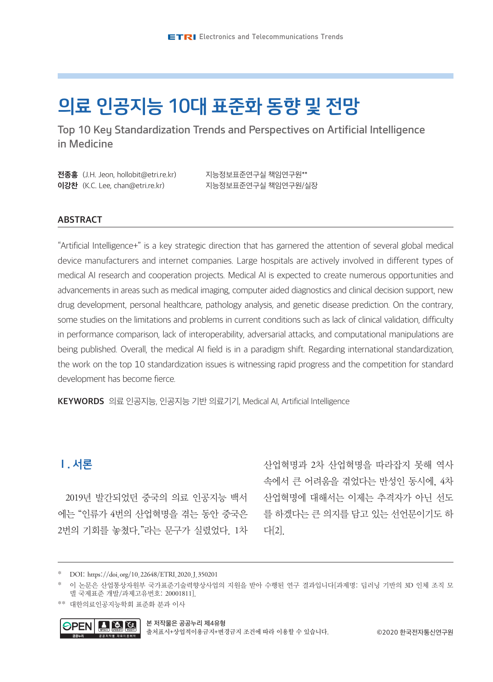# 의료 인공지능 10대 표준화 동향 및 전망

Top 10 Key Standardization Trends and Perspectives on Artificial Intelligence in Medicine

| <b>전종홍</b> (J.H. Jeon, hollobit@etri.re.kr) | 지능정보표준연구실 책임연구원**  |
|---------------------------------------------|--------------------|
| <b>이강찬</b> (K.C. Lee, chan@etri.re.kr)      | 지능정보표준연구실 책임연구원/실장 |

### ABSTRACT

"Artificial Intelligence+" is a key strategic direction that has garnered the attention of several global medical device manufacturers and internet companies. Large hospitals are actively involved in different types of medical AI research and cooperation projects. Medical AI is expected to create numerous opportunities and advancements in areas such as medical imaging, computer aided diagnostics and clinical decision support, new drug development, personal healthcare, pathology analysis, and genetic disease prediction. On the contrary, some studies on the limitations and problems in current conditions such as lack of clinical validation, difficulty in performance comparison, lack of interoperability, adversarial attacks, and computational manipulations are being published. Overall, the medical AI field is in a paradigm shift. Regarding international standardization, the work on the top 10 standardization issues is witnessing rapid progress and the competition for standard development has become fierce.

KEYWORDS 의료 인공지능, 인공지능 기반 의료기기, Medical AI, Artificial Intelligence

# Ⅰ. 서론

2019년 발간되었던 중국의 의료 인공지능 백서 에는 "인류가 4번의 산업혁명을 겪는 동안 중국은 2번의 기회를 놓쳤다."라는 문구가 실렸었다. 1차 산업혁명과 2차 산업혁명을 따라잡지 못해 역사 속에서 큰 어려움을 겪었다는 반성인 동시에, 4차 산업혁명에 대해서는 이제는 추격자가 아닌 선도 를 하겠다는 큰 의지를 담고 있는 선언문이기도 하 다[2].

<sup>\*\*</sup> 대한의료인공지능학회 표준화 분과 이사



출처표시+상업적이용금지+변경금지 조건에 따라 이용할 수 있습니다.

<sup>\*</sup> DOI: https://doi.org/10.22648/ETRI.2020.J.350201

이 논문은 산업통상자원부 국가표준기술력향상사업의 지원을 받아 수행된 연구 결과입니다[과제명: 딥러닝 기반의 3D 인체 조직 모 델 국제표준 개발/과제고유번호: 20001811].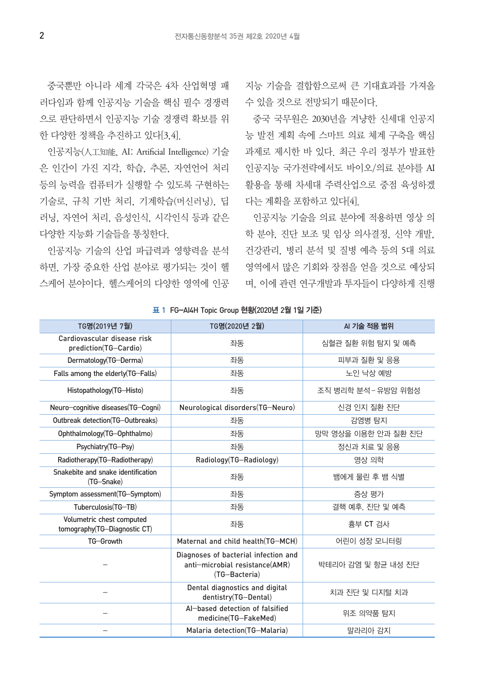러다임과 함께 인공지능 기술을 핵심 필수 경쟁력 수 있을 것으로 전망되기 때문이다. 으로 판단하면서 인공지능 기술 경쟁력 확보를 위 한 다양한 정책을 추진하고 있다[3,4].

인공지능(人工知能, AI: Artificial Intelligence) 기술 은 인간이 가진 지각, 학습, 추론, 자연언어 처리 등의 능력을 컴퓨터가 실행할 수 있도록 구현하는 기술로, 규칙 기반 처리, 기계학습(머신러닝), 딥 러닝, 자연어 처리, 음성인식, 시각인식 등과 같은 다양한 지능화 기술들을 통칭한다.

인공지능 기술의 산업 파급력과 영향력을 분석 하면, 가장 중요한 산업 분야로 평가되는 것이 헬 영역에서 많은 기회와 장점을 얻을 것으로 예상되

중국뿐만 아니라 세계 각국은 4차 산업혁명 패 지능 기술을 결합함으로써 큰 기대효과를 가져올

중국 국무원은 2030년을 겨냥한 신세대 인공지 능 발전 계획 속에 스마트 의료 체계 구축을 핵심 과제로 제시한 바 있다. 최근 우리 정부가 발표한 인공지능 국가전략에서도 바이오/의료 분야를 AI 활용을 통해 차세대 주력산업으로 중점 육성하겠 다는 계획을 포함하고 있다[4].

스케어 분야이다. 헬스케어의 다양한 영역에 인공 며, 이에 관련 연구개발과 투자들이 다양하게 진행 인공지능 기술을 의료 분야에 적용하면 영상 의 학 분야, 진단 보조 및 임상 의사결정, 신약 개발, 건강관리, 병리 분석 및 질병 예측 등의 5대 의료

| TG명(2019년 7월)                                             | TG명(2020년 2월)                                                                           | AI 기술 적용 범위         |
|-----------------------------------------------------------|-----------------------------------------------------------------------------------------|---------------------|
| Cardiovascular disease risk<br>prediction(TG-Cardio)      | 좌동                                                                                      | 심혈관 질환 위험 탐지 및 예측   |
| Dermatology(TG-Derma)                                     | 좌동                                                                                      | 피부과 질환 및 응용         |
| Falls among the elderly(TG-Falls)                         | 좌동                                                                                      | 노인 낙상 예방            |
| Histopathology(TG-Histo)                                  | 좌동                                                                                      | 조직 병리학 분석 - 유방암 위험성 |
| Neuro-cognitive diseases (TG-Cogni)                       | Neurological disorders(TG-Neuro)                                                        | 신경 인지 질환 진단         |
| Outbreak detection(TG-Outbreaks)                          | 좌동                                                                                      | 감염병 탐지              |
| Ophthalmology(TG-Ophthalmo)                               | 좌동                                                                                      | 망막 영상을 이용한 안과 질환 진단 |
| Psychiatry(TG-Psy)                                        | 좌동                                                                                      | 정신과 치료 및 응용         |
| Radiotherapy(TG-Radiotherapy)                             | Radiology(TG-Radiology)                                                                 | 영상 의학               |
| Snakebite and snake identification<br>(TG-Snake)          | 좌동                                                                                      | 뱀에게 물린 후 뱀 식별       |
| Symptom assessment(TG-Symptom)                            | 좌동                                                                                      | 증상 평가               |
| Tuberculosis(TG-TB)                                       | 좌동                                                                                      | 결핵 예후. 진단 및 예측      |
| Volumetric chest computed<br>tomography(TG-Diagnostic CT) | 좌동                                                                                      | 흉부 CT 검사            |
| TG-Growth                                                 | Maternal and child health(TG-MCH)                                                       | 어린이 성장 모니터링         |
|                                                           | Diagnoses of bacterial infection and<br>anti-microbial resistance(AMR)<br>(TG-Bacteria) | 박테리아 감염 및 항균 내성 진단  |
|                                                           | Dental diagnostics and digital<br>dentistry(TG-Dental)                                  | 치과 진단 및 디지털 치과      |
|                                                           | Al-based detection of falsified<br>medicine(TG-FakeMed)                                 | 위조 의약품 탐지           |
|                                                           | Malaria detection(TG-Malaria)                                                           | 말라리아 감지             |

표 1 FG-AI4H Topic Group 현황(2020년 2월 1일 기준)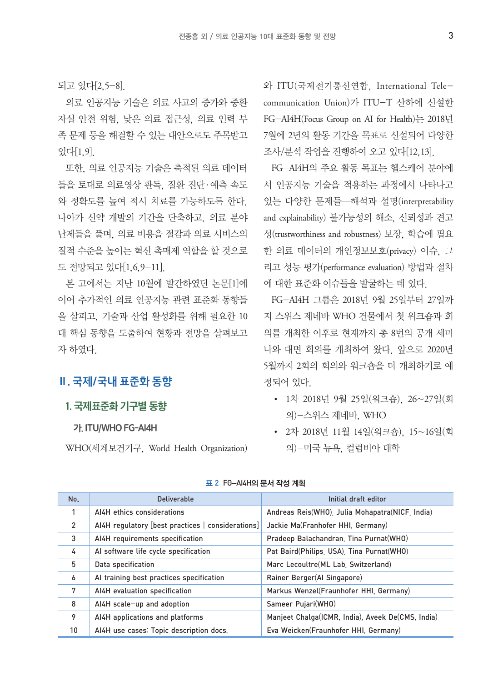되고 있다[2,5-8].

의료 인공지능 기술은 의료 사고의 증가와 중환 자실 안전 위험, 낮은 의료 접근성, 의료 인력 부 족 문제 등을 해결할 수 있는 대안으로도 주목받고 있다[1,9].

또한, 의료 인공지능 기술은 축적된 의료 데이터 들을 토대로 의료영상 판독, 질환 진단·예측 속도 와 정확도를 높여 적시 치료를 가능하도록 한다. 나아가 신약 개발의 기간을 단축하고, 의료 분야 난제들을 풀며, 의료 비용을 절감과 의료 서비스의 질적 수준을 높이는 혁신 촉매제 역할을 할 것으로 도 전망되고 있다[1,6,9-11].

본 고에서는 지난 10월에 발간하였던 논문[1]에 이어 추가적인 의료 인공지능 관련 표준화 동향들 을 살피고, 기술과 산업 활성화를 위해 필요한 10 대 핵심 동향을 도출하여 현황과 전망을 살펴보고 자 하였다.

# Ⅱ. 국제/국내 표준화 동향

# 1. 국제표준화 기구별 동향

### 가. ITU/WHO FG-AI4H

WHO(세계보건기구, World Health Organization)

와 ITU(국제전기통신연합, International Telecommunication Union)가 ITU-T 산하에 신설한 FG-AI4H(Focus Group on AI for Health)는 2018년 7월에 2년의 활동 기간을 목표로 신설되어 다양한 조사/분석 작업을 진행하여 오고 있다[12,13].

FG-AI4H의 주요 활동 목표는 헬스케어 분야에 서 인공지능 기술을 적용하는 과정에서 나타나고 있는 다양한 문제들—해석과 설명(interpretability and explainability) 불가능성의 해소, 신뢰성과 견고 성(trustworthiness and robustness) 보장, 학습에 필요 한 의료 데이터의 개인정보보호(privacy) 이슈, 그 리고 성능 평가(performance evaluation) 방법과 절차 에 대한 표준화 이슈들을 발굴하는 데 있다.

FG-AI4H 그룹은 2018년 9월 25일부터 27일까 지 스위스 제네바 WHO 건물에서 첫 워크숍과 회 의를 개최한 이후로 현재까지 총 8번의 공개 세미 나와 대면 회의를 개최하여 왔다. 앞으로 2020년 5월까지 2회의 회의와 워크숍을 더 개최하기로 예 정되어 있다.

- 1차 2018년 9월 25일(워크숍), 26~27일(회 의)-스위스 제네바, WHO
- 2차 2018년 11월 14일(워크숍), 15~16일(회 의)-미국 뉴욕, 컬럼비아 대학

| No.             | Deliverable                                       | Initial draft editor                              |
|-----------------|---------------------------------------------------|---------------------------------------------------|
| 1               | AI4H ethics considerations                        | Andreas Reis(WHO) Julia Mohapatra(NICF India)     |
| 2               | AI4H regulatory [best practices   considerations] | Jackie Ma(Franhofer HHI Germany)                  |
| 3               | AI4H requirements specification                   | Pradeep Balachandran, Tina Purnat (WHO)           |
| 4               | Al software life cycle specification              | Pat Baird(Philips, USA), Tina Purnat(WHO)         |
| 5               | Data specification                                | Marc Lecoultre(ML Lab. Switzerland)               |
| 6               | Al training best practices specification          | Rainer Berger(Al Singapore)                       |
| 7               | AI4H evaluation specification                     | Markus Wenzel (Fraunhofer HHI Germany)            |
| 8               | AI4H scale-up and adoption                        | Sameer Pujari(WHO)                                |
| 9               | AI4H applications and platforms                   | Manjeet Chalga(ICMR, India), Aveek De(CMS, India) |
| 10 <sup>°</sup> | AI4H use cases: Topic description docs.           | Eva Weicken(Fraunhofer HHI Germany)               |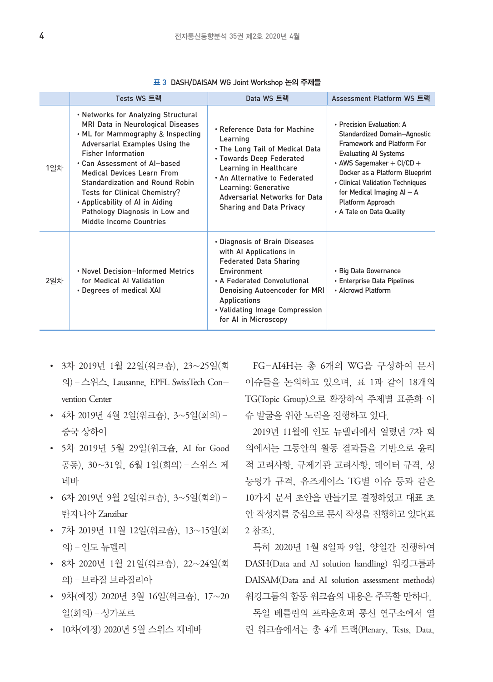|     | Tests WS 트랙                                                                                                                                                                                                                                                                                                                                                                                                                 | Data WS 트랙                                                                                                                                                                                                                                              | Assessment Platform WS 트랙                                                                                                                                                                                                                                                                                       |
|-----|-----------------------------------------------------------------------------------------------------------------------------------------------------------------------------------------------------------------------------------------------------------------------------------------------------------------------------------------------------------------------------------------------------------------------------|---------------------------------------------------------------------------------------------------------------------------------------------------------------------------------------------------------------------------------------------------------|-----------------------------------------------------------------------------------------------------------------------------------------------------------------------------------------------------------------------------------------------------------------------------------------------------------------|
| 1일차 | • Networks for Analyzing Structural<br>MRI Data in Neurological Diseases<br>$\cdot$ ML for Mammography & Inspecting<br>Adversarial Examples Using the<br><b>Fisher Information</b><br>. Can Assessment of Al-based<br><b>Medical Devices Learn From</b><br>Standardization and Round Robin<br>Tests for Clinical Chemistry?<br>. Applicability of AI in Aiding<br>Pathology Diagnosis in Low and<br>Middle Income Countries | • Reference Data for Machine<br>Learning<br>• The Long Tail of Medical Data<br>• Towards Deep Federated<br>Learning in Healthcare<br>• An Alternative to Federated<br>Learning: Generative<br>Adversarial Networks for Data<br>Sharing and Data Privacy | • Precision Evaluation: A<br>Standardized Domain-Agnostic<br>Framework and Platform For<br><b>Evaluating AI Systems</b><br>• AWS Sagemaker $+$ CI/CD $+$<br>Docker as a Platform Blueprint<br>• Clinical Validation Techniques<br>for Medical Imaging $AI - A$<br>Platform Approach<br>• A Tale on Data Quality |
| 2일차 | • Novel Decision-Informed Metrics<br>for Medical Al Validation<br>• Degrees of medical XAI                                                                                                                                                                                                                                                                                                                                  | • Diagnosis of Brain Diseases<br>with Al Applications in<br><b>Federated Data Sharing</b><br>Environment<br>• A Federated Convolutional<br>Denoising Autoencoder for MRI<br>Applications<br>• Validating Image Compression<br>for Al in Microscopy      | • Big Data Governance<br>• Enterprise Data Pipelines<br>• Alcrowd Platform                                                                                                                                                                                                                                      |

표 3 DASH/DAISAM WG Joint Workshop 논의 주제들

- 3차 2019년 1월 22일(워크숍), 23~25일(회 의)–스위스, Lausanne, EPFL SwissTech Convention Center
- 4차 2019년 4월 2일(워크숍), 3~5일(회의)– 중국 상하이
- 5차 2019년 5월 29일(워크숍, AI for Good 공동), 30~31일, 6월 1일(회의)–스위스 제 네바
- 6차 2019년 9월 2일(워크숍), 3~5일(회의)– 탄자니아 Zanzibar
- 7차 2019년 11월 12일(워크숍), 13~15일(회 의)–인도 뉴델리
- 8차 2020년 1월 21일(워크숍), 22~24일(회 의)–브라질 브라질리아
- 일(회의)–싱가포르
- 10차(예정) 2020년 5월 스위스 제네바

FG-AI4H는 총 6개의 WG을 구성하여 문서 이슈들을 논의하고 있으며, 표 1과 같이 18개의 TG(Topic Group)으로 확장하여 주제별 표준화 이 슈 발굴을 위한 노력을 진행하고 있다.

2019년 11월에 인도 뉴델리에서 열렸던 7차 회 의에서는 그동안의 활동 결과들을 기반으로 윤리 적 고려사항, 규제기관 고려사항, 데이터 규격, 성 능평가 규격, 유즈케이스 TG별 이슈 등과 같은 10가지 문서 초안을 만들기로 결정하였고 대표 초 안 작성자를 중심으로 문서 작성을 진행하고 있다(표 2 참조).

• 9차(예정) 2020년 3월 16일(워크숍), 17∼20 워킹그룹의 합동 워크숍의 내용은 주목할 만하다. 특히 2020년 1월 8일과 9일, 양일간 진행하여 DASH(Data and AI solution handling) 워킹그룹과 DAISAM(Data and AI solution assessment methods)

> 독일 베를린의 프라운호퍼 통신 연구소에서 열 린 워크숍에서는 총 4개 트랙(Plenary, Tests, Data,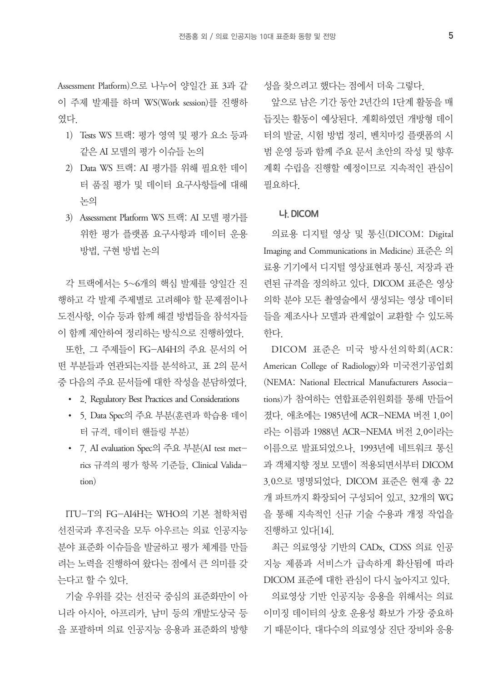Assessment Platform)으로 나누어 양일간 표 3과 같 이 주제 발제를 하며 WS(Work session)를 진행하 였다.

- 1) Tests WS 트랙: 평가 영역 및 평가 요소 등과 같은 AI 모델의 평가 이슈들 논의
- 2) Data WS 트랙: AI 평가를 위해 필요한 데이 터 품질 평가 및 데이터 요구사항들에 대해 논의
- 3) Assessment Platform WS 트랙: AI 모델 평가를 위한 평가 플랫폼 요구사항과 데이터 운용 방법, 구현 방법 논의

각 트랙에서는 5~6개의 핵심 발제를 양일간 진 행하고 각 발제 주제별로 고려해야 할 문제점이나 도전사항, 이슈 등과 함께 해결 방법들을 참석자들 이 함께 제안하여 정리하는 방식으로 진행하였다.

또한, 그 주제들이 FG-AI4H의 주요 문서의 어 떤 부분들과 연관되는지를 분석하고, 표 2의 문서 중 다음의 주요 문서들에 대한 작성을 분담하였다.

- 2. Regulatory Best Practices and Considerations
- 5. Data Spec의 주요 부분(훈련과 학습용 데이 터 규격, 데이터 핸들링 부분)
- 7. AI evaluation Spec의 주요 부분(AI test metrics 규격의 평가 항목 기준들, Clinical Validation)

ITU-T의 FG-AI4H는 WHO의 기본 철학처럼 선진국과 후진국을 모두 아우르는 의료 인공지능 분야 표준화 이슈들을 발굴하고 평가 체계를 만들 려는 노력을 진행하여 왔다는 점에서 큰 의미를 갖 는다고 할 수 있다.

기술 우위를 갖는 선진국 중심의 표준화만이 아 니라 아시아, 아프리카, 남미 등의 개발도상국 등 을 포괄하며 의료 인공지능 응용과 표준화의 방향 성을 찾으려고 했다는 점에서 더욱 그렇다.

앞으로 남은 기간 동안 2년간의 1단계 활동을 매 듭짓는 활동이 예상된다. 계획하였던 개방형 데이 터의 발굴, 시험 방법 정리, 벤치마킹 플랫폼의 시 범 운영 등과 함께 주요 문서 초안의 작성 및 향후 계획 수립을 진행할 예정이므로 지속적인 관심이 필요하다.

### 나. DICOM

의료용 디지털 영상 및 통신(DICOM: Digital Imaging and Communications in Medicine) 표준은 의 료용 기기에서 디지털 영상표현과 통신, 저장과 관 련된 규격을 정의하고 있다. DICOM 표준은 영상 의학 분야 모든 촬영술에서 생성되는 영상 데이터 들을 제조사나 모델과 관계없이 교환할 수 있도록 한다.

DICOM 표준은 미국 방사선의학회(ACR: American College of Radiology)와 미국전기공업회 (NEMA: National Electrical Manufacturers Associations)가 참여하는 연합표준위원회를 통해 만들어 졌다. 애초에는 1985년에 ACR-NEMA 버전 1.0이 라는 이름과 1988년 ACR-NEMA 버전 2.0이라는 이름으로 발표되었으나, 1993년에 네트워크 통신 과 객체지향 정보 모델이 적용되면서부터 DICOM 3.0으로 명명되었다. DICOM 표준은 현재 총 22 개 파트까지 확장되어 구성되어 있고, 32개의 WG 을 통해 지속적인 신규 기술 수용과 개정 작업을 진행하고 있다[14].

최근 의료영상 기반의 CADx, CDSS 의료 인공 지능 제품과 서비스가 급속하게 확산됨에 따라 DICOM 표준에 대한 관심이 다시 높아지고 있다.

의료영상 기반 인공지능 응용을 위해서는 의료 이미징 데이터의 상호 운용성 확보가 가장 중요하 기 때문이다. 대다수의 의료영상 진단 장비와 응용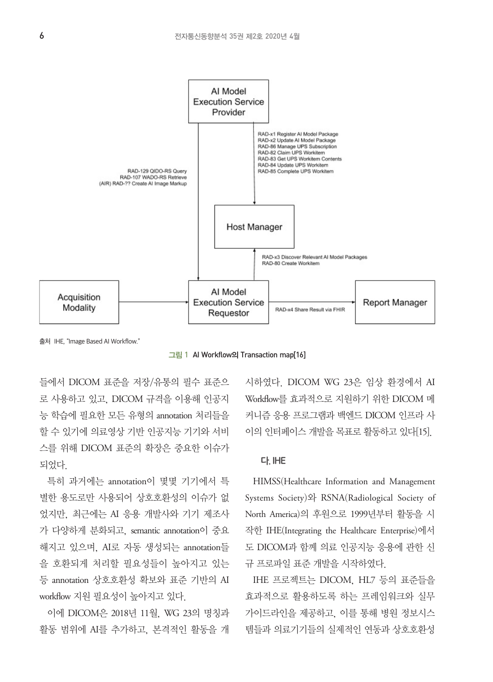

출처 IHE, "Image Based AI Workflow."

그림 1 AI Workflow의 Transaction map[16]

들에서 DICOM 표준을 저장/유통의 필수 표준으 로 사용하고 있고, DICOM 규격을 이용해 인공지 능 학습에 필요한 모든 유형의 annotation 처리들을 할 수 있기에 의료영상 기반 인공지능 기기와 서비 스를 위해 DICOM 표준의 확장은 중요한 이슈가 되었다.

특히 과거에는 annotation이 몇몇 기기에서 특 별한 용도로만 사용되어 상호호환성의 이슈가 없 었지만, 최근에는 AI 응용 개발사와 기기 제조사 가 다양하게 분화되고, semantic annotation이 중요 해지고 있으며, AI로 자동 생성되는 annotation들 을 호환되게 처리할 필요성들이 높아지고 있는 등 annotation 상호호환성 확보와 표준 기반의 AI workflow 지워 필요성이 높아지고 있다.

이에 DICOM은 2018년 11월, WG 23의 명칭과 활동 범위에 AI를 추가하고, 본격적인 활동을 개

시하였다. DICOM WG 23은 임상 환경에서 AI Workflow를 효과적으로 지워하기 위한 DICOM 메 커니즘 응용 프로그램과 백엔드 DICOM 인프라 사 이의 인터페이스 개발을 목표로 활동하고 있다[15].

### 다. IHE

HIMSS(Healthcare Information and Management Systems Society)와 RSNA(Radiological Society of North America)의 후원으로 1999년부터 활동을 시 작한 IHE(Integrating the Healthcare Enterprise)에서 도 DICOM과 함께 의료 인공지능 응용에 관한 신 규 프로파일 표준 개발을 시작하였다.

IHE 프로젝트는 DICOM, HL7 등의 표준들을 효과적으로 활용하도록 하는 프레임워크와 실무 가이드라인을 제공하고, 이를 통해 병원 정보시스 템들과 의료기기들의 실제적인 연동과 상호호환성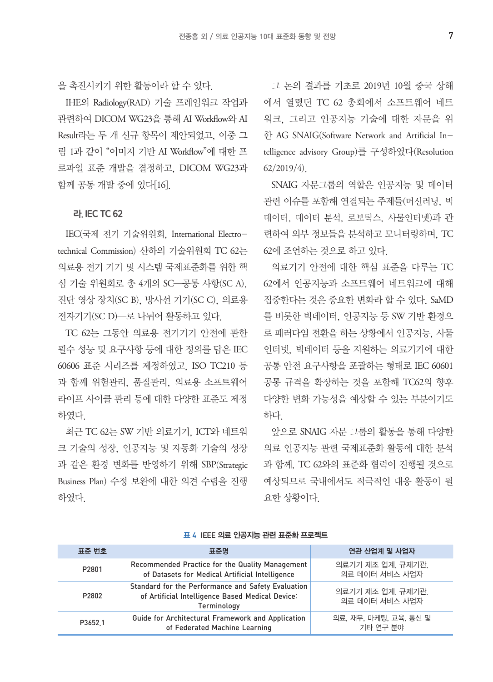을 촉진시키기 위한 활동이라 할 수 있다.

IHE의 Radiology(RAD) 기술 프레임워크 작업과 관련하여 DICOM WG23을 통해 AI Workflow와 AI Result라는 두 개 신규 항목이 제안되었고, 이중 그 림 1과 같이 "이미지 기반 AI Workflow"에 대한 프 로파일 표준 개발을 결정하고, DICOM WG23과 함께 공동 개발 중에 있다[16].

### 라. IEC TC 62

IEC(국제 전기 기술위원회, International Electrotechnical Commission) 산하의 기술위원회 TC 62는 의료용 전기 기기 및 시스템 국제표준화를 위한 핵 심 기술 위원회로 총 4개의 SC—공통 사항(SC A), 진단 영상 장치(SC B), 방사선 기기(SC C), 의료용 전자기기(SC D)—로 나뉘어 활동하고 있다.

TC 62는 그동안 의료용 전기기기 안전에 관한 필수 성능 및 요구사항 등에 대한 정의를 담은 IEC 60606 표준 시리즈를 제정하였고, ISO TC210 등 과 함께 위험관리, 품질관리, 의료용 소프트웨어 라이프 사이클 관리 등에 대한 다양한 표준도 제정 하였다.

최근 TC 62는 SW 기반 의료기기, ICT와 네트워 크 기술의 성장, 인공지능 및 자동화 기술의 성장 과 같은 환경 변화를 반영하기 위해 SBP(Strategic Business Plan) 수정 보완에 대한 의견 수렴을 진행 하였다.

그 논의 결과를 기초로 2019년 10월 중국 상해 에서 열렸던 TC 62 총회에서 소프트웨어 네트 워크, 그리고 인공지능 기술에 대한 자문을 위 한 AG SNAIG(Software Network and Artificial Intelligence advisory Group)를 구성하였다(Resolution 62/2019/4).

SNAIG 자문그룹의 역할은 인공지능 및 데이터 관련 이슈를 포함해 연결되는 주제들(머신러닝, 빅 데이터, 데이터 분석, 로보틱스, 사물인터넷)과 관 련하여 외부 정보들을 분석하고 모니터링하며, TC 62에 조언하는 것으로 하고 있다.

의료기기 안전에 대한 핵심 표준을 다루는 TC 62에서 인공지능과 소프트웨어 네트워크에 대해 집중한다는 것은 중요한 변화라 할 수 있다. SaMD 를 비롯한 빅데이터, 인공지능 등 SW 기반 환경으 로 패러다임 전환을 하는 상황에서 인공지능, 사물 인터넷, 빅데이터 등을 지원하는 의료기기에 대한 공통 안전 요구사항을 포괄하는 형태로 IEC 60601 공통 규격을 확장하는 것을 포함해 TC62의 향후 다양한 변화 가능성을 예상할 수 있는 부분이기도 하다.

앞으로 SNAIG 자문 그룹의 활동을 통해 다양한 의료 인공지능 관련 국제표준화 활동에 대한 분석 과 함께, TC 62와의 표준화 협력이 진행될 것으로 예상되므로 국내에서도 적극적인 대응 활동이 필 요한 상황이다.

| 표준 번호   | 표준명                                                                                                                   | 연관 산업계 및 사업자                        |
|---------|-----------------------------------------------------------------------------------------------------------------------|-------------------------------------|
| P2801   | Recommended Practice for the Quality Management<br>of Datasets for Medical Artificial Intelligence                    | 의료기기 제조 업계, 규제기관,<br>의료 데이터 서비스 사업자 |
| P2802   | Standard for the Performance and Safety Evaluation<br>of Artificial Intelligence Based Medical Device:<br>Terminology | 의료기기 제조 업계, 규제기관,<br>의료 데이터 서비스 사업자 |
| P3652.1 | Guide for Architectural Framework and Application<br>of Federated Machine Learning                                    | 의료, 재무, 마케팅, 교육, 통신 및<br>기타 연구 부야   |

#### 표 4 IEEE 의료 인공지능 관련 표준화 프로젝트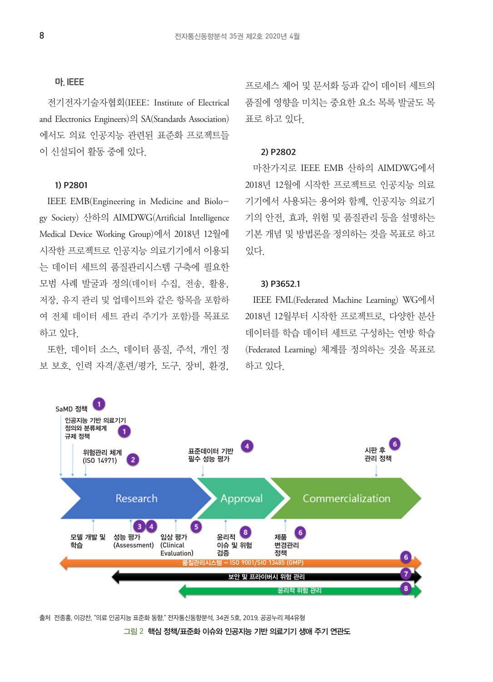#### 마. IEEE

전기전자기술자협회(IEEE: Institute of Electrical and Electronics Engineers)의 SA(Standards Association) 에서도 의료 인공지능 관련된 표준화 프로젝트들 이 신설되어 활동 중에 있다.

### 1) P2801

IEEE EMB(Engineering in Medicine and Biology Society) 산하의 AIMDWG(Artificial Intelligence Medical Device Working Group)에서 2018년 12월에 시작한 프로젝트로 인공지능 의료기기에서 이용되 는 데이터 세트의 품질관리시스템 구축에 필요한 모범 사례 발굴과 정의(데이터 수집, 전송, 활용, 저장, 유지 관리 및 업데이트와 같은 항목을 포함하 여 전체 데이터 세트 관리 주기가 포함)를 목표로 하고 있다.

또한, 데이터 소스, 데이터 품질, 주석, 개인 정 보 보호, 인력 자격/훈련/평가, 도구, 장비, 환경, 프로세스 제어 및 문서화 등과 같이 데이터 세트의 품질에 영향을 미치는 중요한 요소 목록 발굴도 목 표로 하고 있다.

### 2) P2802

마찬가지로 IEEE EMB 산하의 AIMDWG에서 2018년 12월에 시작한 프로젝트로 인공지능 의료 기기에서 사용되는 용어와 함께, 인공지능 의료기 기의 안전, 효과, 위험 및 품질관리 등을 설명하는 기본 개념 및 방법론을 정의하는 것을 목표로 하고 있다.

### 3) P3652.1

IEEE FML(Federated Machine Learning) WG에서 2018년 12월부터 시작한 프로젝트로, 다양한 분산 데이터를 학습 데이터 세트로 구성하는 연방 학습 (Federated Learning) 체계를 정의하는 것을 목표로 하고 있다.



출처 전종홍, 이강찬, "의료 인공지능 표준화 동향," 전자통신동향분석, 34권 5호, 2019, 공공누리 제4유형

그림 2 핵심 정책/표준화 이슈와 인공지능 기반 의료기기 생애 주기 연관도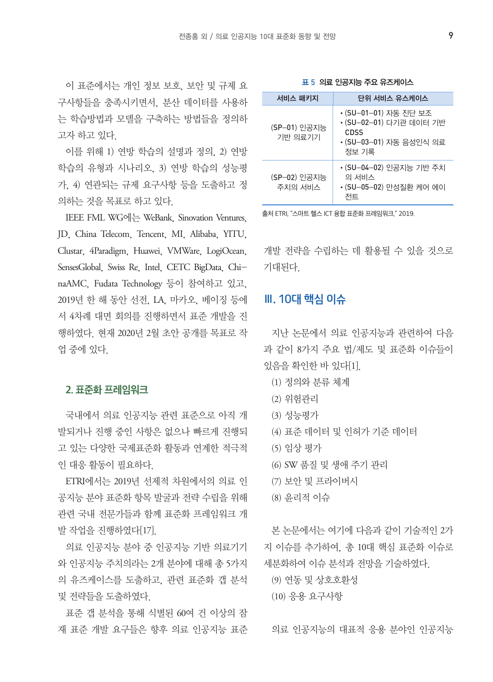이 표준에서는 개인 정보 보호, 보안 및 규제 요 구사항들을 충족시키면서, 분산 데이터를 사용하 는 학습방법과 모델을 구축하는 방법들을 정의하 고자 하고 있다.

이를 위해 1) 연방 학습의 설명과 정의, 2) 연방 학습의 유형과 시나리오, 3) 연방 학습의 성능평 가, 4) 연관되는 규제 요구사항 등을 도출하고 정 의하는 것을 목표로 하고 있다.

IEEE FML WG에는 WeBank, Sinovation Ventures, JD, China Telecom, Tencent, MI, Alibaba, YITU, Clustar, 4Paradigm, Huawei, VMWare, LogiOcean, SensesGlobal, Swiss Re, Intel, CETC BigData, ChinaAMC, Fudata Technology 등이 참여하고 있고, 2019년 한 해 동안 선전, LA, 마카오, 베이징 등에 서 4차례 대면 회의를 진행하면서 표준 개발을 진 행하였다. 현재 2020년 2월 초안 공개를 목표로 작 업 중에 있다.

### 2. 표준화 프레임워크

국내에서 의료 인공지능 관련 표준으로 아직 개 발되거나 진행 중인 사항은 없으나 빠르게 진행되 고 있는 다양한 국제표준화 활동과 연계한 적극적 인 대응 활동이 필요하다.

ETRI에서는 2019년 선제적 차원에서의 의료 인 공지능 분야 표준화 항목 발굴과 전략 수립을 위해 관련 국내 전문가들과 함께 표준화 프레임워크 개 발 작업을 진행하였다[17].

의료 인공지능 분야 중 인공지능 기반 의료기기 와 인공지능 주치의라는 2개 분야에 대해 총 5가지 의 유즈케이스를 도출하고, 관련 표준화 갭 분석 및 전략들을 도출하였다.

표준 갭 분석을 통해 식별된 60여 건 이상의 잠 재 표준 개발 요구들은 향후 의료 인공지능 표준

표 5 의료 인공지능 주요 유즈케이스

| 서비스 패키지                 | 단위 서비스 유스케이스                                                                              |
|-------------------------|-------------------------------------------------------------------------------------------|
| (SP-01) 인공지능<br>기반 의료기기 | ∙(SU-01-01) 자동 진단 보조<br>∙(SU-02-01) 다기관 데이터 기반<br>CDSS<br>•(SU-03-01) 자동 음성인식 의료<br>정보 기록 |
| (SP-02) 인공지능<br>주치의 서비스 | •(SU-04-02) 인공지능 기반 주치<br>의 서비스<br>•(SU-05-02) 만성질환 케어 에이<br>전트                           |

출처 ETRI, "스마트 헬스 ICT 융합 표준화 프레임워크," 2019.

개발 전략을 수립하는 데 활용될 수 있을 것으로 기대된다.

# Ⅲ. 10대 핵심 이슈

지난 논문에서 의료 인공지능과 관련하여 다음 과 같이 8가지 주요 법/제도 및 표준화 이슈들이 있음을 확인한 바 있다[1].

- (1) 정의와 분류 체계
- (2) 위험관리
- (3) 성능평가
- (4) 표준 데이터 및 인허가 기준 데이터
- (5) 임상 평가
- (6) SW 품질 및 생애 주기 관리
- (7) 보안 및 프라이버시
- (8) 윤리적 이슈

본 논문에서는 여기에 다음과 같이 기술적인 2가 지 이슈를 추가하여, 총 10대 핵심 표준화 이슈로 세분화하여 이슈 분석과 전망을 기술하였다.

(9) 연동 및 상호호환성

(10) 응용 요구사항

의료 인공지능의 대표적 응용 분야인 인공지능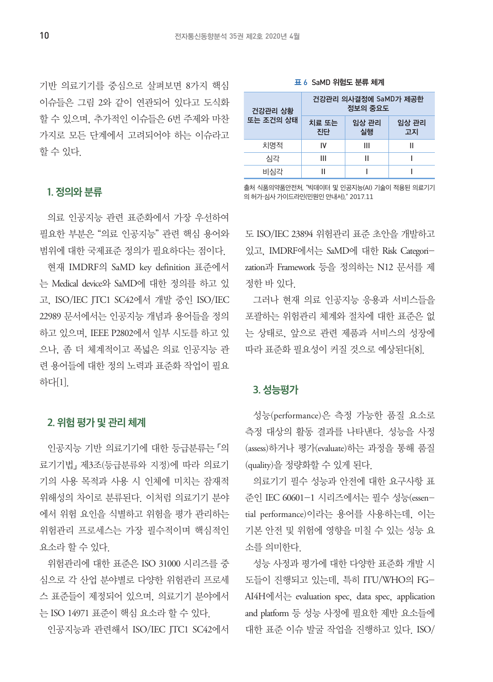기반 의료기기를 중심으로 살펴보면 8가지 핵심 이슈들은 그림 2와 같이 연관되어 있다고 도식화 할 수 있으며, 추가적인 이슈들은 6번 주제와 마찬 가지로 모든 단계에서 고려되어야 하는 이슈라고 할 수 있다.

#### 표 6 SaMD 위험도 분류 체계

| 건강관리 상황   | 건강관리 의사결정에 SaMD가 제공한<br>정보의 중요도 |             |             |
|-----------|---------------------------------|-------------|-------------|
| 또는 조건의 상태 | 치료 또는<br>진단                     | 임상 관리<br>실행 | 임상 관리<br>고지 |
| 치명적       | IV                              | Ш           | н           |
| 심각        | Ш                               | н           |             |
| 비심각       | Ш                               |             |             |

1. 정의와 분류

의료 인공지능 관련 표준화에서 가장 우선하여 필요한 부분은 "의료 인공지능" 관련 핵심 용어와 범위에 대한 국제표준 정의가 필요하다는 점이다.

현재 IMDRF의 SaMD key definition 표준에서 는 Medical device와 SaMD에 대한 정의를 하고 있 고, ISO/IEC JTC1 SC42에서 개발 중인 ISO/IEC 22989 문서에서는 인공지능 개념과 용어들을 정의 하고 있으며, IEEE P2802에서 일부 시도를 하고 있 으나, 좀 더 체계적이고 폭넓은 의료 인공지능 관 련 용어들에 대한 정의 노력과 표준화 작업이 필요 하다[1].

# 2. 위험 평가 및 관리 체계

인공지능 기반 의료기기에 대한 등급분류는 「의 료기기법」 제3조(등급분류와 지정)에 따라 의료기 기의 사용 목적과 사용 시 인체에 미치는 잠재적 위해성의 차이로 분류된다. 이처럼 의료기기 분야 에서 위험 요인을 식별하고 위험을 평가 관리하는 위험관리 프로세스는 가장 필수적이며 핵심적인 요소라 할 수 있다.

위험관리에 대한 표준은 ISO 31000 시리즈를 중 심으로 각 산업 분야별로 다양한 위험관리 프로세 스 표준들이 제정되어 있으며, 의료기기 분야에서 는 ISO 14971 표준이 핵심 요소라 할 수 있다.

인공지능과 관련해서 ISO/IEC JTC1 SC42에서

출처 식품의약품안전처, "빅데이터 및 인공지능(AI) 기술이 적용된 의료기기 의 허가·심사 가이드라인(민원인 안내서)," 2017.11

도 ISO/IEC 23894 위험관리 표준 초안을 개발하고 있고, IMDRF에서는 SaMD에 대한 Risk Categorization과 Framework 등을 정의하는 N12 문서를 제 정한 바 있다.

그러나 현재 의료 인공지능 응용과 서비스들을 포괄하는 위험관리 체계와 절차에 대한 표준은 없 는 상태로, 앞으로 관련 제품과 서비스의 성장에 따라 표준화 필요성이 커질 것으로 예상된다[8].

# 3. 성능평가

성능(performance)은 측정 가능한 품질 요소로 측정 대상의 활동 결과를 나타낸다. 성능을 사정 (assess)하거나 평가(evaluate)하는 과정을 통해 품질 (quality)을 정량화할 수 있게 된다.

의료기기 필수 성능과 안전에 대한 요구사항 표 준인 IEC 60601-1 시리즈에서는 필수 성능(essential performance)이라는 용어를 사용하는데, 이는 기본 안전 및 위험에 영향을 미칠 수 있는 성능 요 소를 의미한다.

성능 사정과 평가에 대한 다양한 표준화 개발 시 도들이 진행되고 있는데, 특히 ITU/WHO의 FG-AI4H에서는 evaluation spec, data spec, application and platform 등 성능 사정에 필요한 제반 요소들에 대한 표준 이슈 발굴 작업을 진행하고 있다. ISO/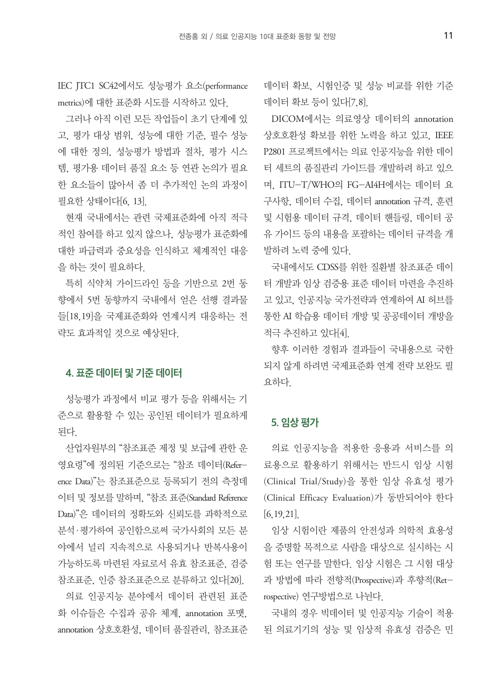IEC JTC1 SC42에서도 성능평가 요소(performance metrics)에 대한 표준화 시도를 시작하고 있다.

그러나 아직 이런 모든 작업들이 초기 단계에 있 고, 평가 대상 범위, 성능에 대한 기준, 필수 성능 에 대한 정의, 성능평가 방법과 절차, 평가 시스 템, 평가용 데이터 품질 요소 등 연관 논의가 필요 한 요소들이 많아서 좀 더 추가적인 논의 과정이 필요한 상태이다[6, 13].

현재 국내에서는 관련 국제표준화에 아직 적극 적인 참여를 하고 있지 않으나, 성능평가 표준화에 대한 파급력과 중요성을 인식하고 체계적인 대응 을 하는 것이 필요하다.

특히 식약처 가이드라인 등을 기반으로 2번 동 향에서 5번 동향까지 국내에서 얻은 선행 결과물 들[18,19]을 국제표준화와 연계시켜 대응하는 전 략도 효과적일 것으로 예상된다.

# 4. 표준 데이터 및 기준 데이터

성능평가 과정에서 비교 평가 등을 위해서는 기 준으로 활용할 수 있는 공인된 데이터가 필요하게 된다.

산업자원부의 "참조표준 제정 및 보급에 관한 운 영요령"에 정의된 기준으로는 "참조 데이터(Reference Data)"는 참조표준으로 등록되기 전의 측정데 이터 및 정보를 말하며, "참조 표준(Standard Reference Data)"은 데이터의 정확도와 신뢰도를 과학적으로 분석·평가하여 공인함으로써 국가사회의 모든 분 야에서 널리 지속적으로 사용되거나 반복사용이 가능하도록 마련된 자료로서 유효 참조표준, 검증 참조표준, 인증 참조표준으로 분류하고 있다[20].

의료 인공지능 분야에서 데이터 관련된 표준 화 이슈들은 수집과 공유 체계, annotation 포맷, annotation 상호호환성, 데이터 품질관리, 참조표준

데이터 확보, 시험인증 및 성능 비교를 위한 기준 데이터 확보 등이 있다[7,8].

DICOM에서는 의료영상 데이터의 annotation 상호호환성 확보를 위한 노력을 하고 있고, IEEE P2801 프로젝트에서는 의료 인공지능을 위한 데이 터 세트의 품질관리 가이드를 개발하려 하고 있으 며, ITU-T/WHO의 FG-AI4H에서는 데이터 요 구사항, 데이터 수집, 데이터 annotation 규격, 훈련 및 시험용 데이터 규격, 데이터 핸들링, 데이터 공 유 가이드 등의 내용을 포괄하는 데이터 규격을 개 발하려 노력 중에 있다.

국내에서도 CDSS를 위한 질환별 참조표준 데이 터 개발과 임상 검증용 표준 데이터 마련을 추진하 고 있고, 인공지능 국가전략과 연계하여 AI 허브를 통한 AI 학습용 데이터 개방 및 공공데이터 개방을 적극 추진하고 있다[4].

향후 이러한 경험과 결과들이 국내용으로 국한 되지 않게 하려면 국제표준화 연계 전략 보완도 필 요하다.

### 5. 임상 평가

의료 인공지능을 적용한 응용과 서비스를 의 료용으로 활용하기 위해서는 반드시 임상 시험 (Clinical Trial/Study)을 통한 임상 유효성 평가 (Clinical Efficacy Evaluation)가 동반되어야 한다 [6,19,21].

임상 시험이란 제품의 안전성과 의학적 효용성 을 증명할 목적으로 사람을 대상으로 실시하는 시 험 또는 연구를 말한다. 임상 시험은 그 시험 대상 과 방법에 따라 전향적(Prospective)과 후향적(Retrospective) 연구방법으로 나뉜다.

국내의 경우 빅데이터 및 인공지능 기술이 적용 된 의료기기의 성능 및 임상적 유효성 검증은 민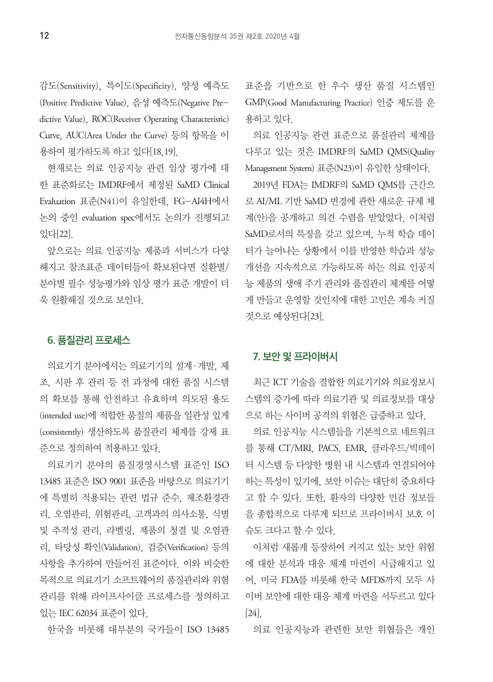감도(Sensitivity), 특이도(Specificity), 양성 예측도 (Positive Predictive Value), 음성 예측도(Negative Predictive Value), ROC(Receiver Operating Characteristic) Curve, AUC(Area Under the Curve) 등의 항목을 이 용하여 평가하도록 하고 있다[18,19].

현재로는 의료 인공지능 관련 임상 평가에 대 한 표준화로는 IMDRF에서 제정된 SaMD Clinical Evaluation 표준(N41)이 유일한데, FG-AI4H에서 논의 중인 evaluation spec에서도 논의가 진행되고 있다[22].

앞으로는 의료 인공지능 제품과 서비스가 다양 해지고 참조표준 데이터들이 확보된다면 질환별/ 분야별 필수 성능평가와 임상 평가 표준 개발이 더 욱 원활해질 것으로 보인다.

# 6. 품질관리 프로세스

의료기기 분야에서는 의료기기의 설계·개발, 제 조, 시판 후 관리 등 전 과정에 대한 품질 시스템 의 확보를 통해 안전하고 유효하며 의도된 용도 (intended use)에 적합한 품질의 제품을 일관성 있게 (consistently) 생산하도록 품질관리 체계를 강제 표 준으로 정의하여 적용하고 있다.

의료기기 분야의 품질경영시스템 표준인 ISO 13485 표준은 ISO 9001 표준을 바탕으로 의료기기 에 특별히 적용되는 관련 법규 준수, 제조환경관 리, 오염관리, 위험관리, 고객과의 의사소통, 식별 및 추적성 관리, 라벨링, 제품의 청결 및 오염관 리, 타당성 확인(Validation), 검증(Verification) 등의 사항을 추가하여 만들어진 표준이다. 이와 비슷한 목적으로 의료기기 소프트웨어의 품질관리와 위험 관리를 위해 라이프사이클 프로세스를 정의하고 있는 IEC 62034 표준이 있다.

한국을 비롯해 대부분의 국가들이 ISO 13485

표준을 기반으로 한 우수 생산 품질 시스템인 GMP(Good Manufacturing Practice) 인증 제도를 운 용하고 있다.

의료 인공지능 관련 표준으로 품질관리 체계를 다루고 있는 것은 IMDRF의 SaMD QMS(Quality Management System) 표준(N23)이 유일한 상태이다.

2019년 FDA는 IMDRF의 SaMD QMS를 근간으 로 AI/ML 기반 SaMD 변경에 관한 새로운 규제 체 계(안)을 공개하고 의견 수렴을 받았었다. 이처럼 SaMD로서의 특징을 갖고 있으며, 누적 학습 데이 터가 늘어나는 상황에서 이를 반영한 학습과 성능 개선을 지속적으로 가능하도록 하는 의료 인공지 능 제품의 생애 주기 관리와 품질관리 체계를 어떻 게 만들고 운영할 것인지에 대한 고민은 계속 커질 것으로 예상된다[23].

# 7. 보안 및 프라이버시

최근 ICT 기술을 결합한 의료기기와 의료정보시 스템의 증가에 따라 의료기관 및 의료정보를 대상 으로 하는 사이버 공격의 위협은 급증하고 있다.

의료 인공지능 시스템들을 기본적으로 네트워크 를 통해 CT/MRI, PACS, EMR, 클라우드/빅데이 터 시스템 등 다양한 병원 내 시스템과 연결되어야 하는 특성이 있기에, 보안 이슈는 대단히 중요하다 고 할 수 있다. 또한, 환자의 다양한 민감 정보들 을 종합적으로 다루게 되므로 프라이버시 보호 이 슈도 크다고 할 수 있다.

이처럼 새롭게 등장하여 커지고 있는 보안 위험 에 대한 분석과 대응 체계 마련이 시급해지고 있 어, 미국 FDA를 비롯해 한국 MFDS까지 모두 사 이버 보안에 대한 대응 체계 마련을 서두르고 있다 [24].

의료 인공지능과 관련한 보안 위협들은 개인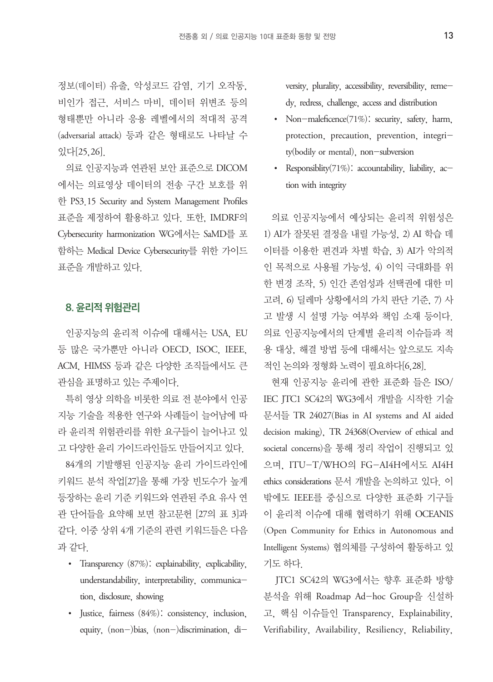정보(데이터) 유출, 악성코드 감염, 기기 오작동, 비인가 접근, 서비스 마비, 데이터 위변조 등의 형태뿐만 아니라 응용 레벨에서의 적대적 공격 (adversarial attack) 등과 같은 형태로도 나타날 수 있다[25,26].

의료 인공지능과 연관된 보안 표준으로 DICOM 에서는 의료영상 데이터의 전송 구간 보호를 위 한 PS3 15 Security and System Management Profiles 표준을 제정하여 활용하고 있다. 또한, IMDRF의 Cybersecurity harmonization WG에서는 SaMD를 포 함하는 Medical Device Cybersecurity를 위한 가이드 표준을 개발하고 있다.

# 8. 윤리적 위험관리

인공지능의 윤리적 이슈에 대해서는 USA, EU 등 많은 국가뿐만 아니라 OECD, ISOC, IEEE, ACM, HIMSS 등과 같은 다양한 조직들에서도 큰 관심을 표명하고 있는 주제이다.

특히 영상 의학을 비롯한 의료 전 분야에서 인공 지능 기술을 적용한 연구와 사례들이 늘어남에 따 라 윤리적 위험관리를 위한 요구들이 늘어나고 있 고 다양한 윤리 가이드라인들도 만들어지고 있다.

84개의 기발행된 인공지능 윤리 가이드라인에 키워드 분석 작업[27]을 통해 가장 빈도수가 높게 등장하는 윤리 기준 키워드와 연관된 주요 유사 연 관 단어들을 요약해 보면 참고문헌 [27의 표 3]과 같다. 이중 상위 4개 기준의 관련 키워드들은 다음 과 같다.

- Transparency (87%): explainability, explicability, understandability, interpretability, communication, disclosure, showing
- Justice, fairness (84%): consistency, inclusion, equity, (non-)bias, (non-)discrimination, di-

versity, plurality, accessibility, reversibility, remedy, redress, challenge, access and distribution

- Non-maleficence $(71\%)$ : security, safety, harm, protection, precaution, prevention, integrity(bodily or mental), non-subversion
- Responsiblity(71%): accountability, liability, action with integrity

의료 인공지능에서 예상되는 윤리적 위험성은 1) AI가 잘못된 결정을 내릴 가능성, 2) AI 학습 데 이터를 이용한 편견과 차별 학습, 3) AI가 악의적 인 목적으로 사용될 가능성, 4) 이익 극대화를 위 한 변경 조작, 5) 인간 존엄성과 선택권에 대한 미 고려, 6) 딜레마 상황에서의 가치 판단 기준, 7) 사 고 발생 시 설명 가능 여부와 책임 소재 등이다. 의료 인공지능에서의 단계별 윤리적 이슈들과 적 용 대상, 해결 방법 등에 대해서는 앞으로도 지속 적인 논의와 정형화 노력이 필요하다[6,28].

현재 인공지능 윤리에 관한 표준화 들은 ISO/ IEC JTC1 SC42의 WG3에서 개발을 시작한 기술 문서들 TR 24027(Bias in AI systems and AI aided decision making), TR 24368(Overview of ethical and societal concerns)을 통해 정리 작업이 진행되고 있 으며, ITU-T/WHO의 FG-AI4H에서도 AI4H ethics considerations 문서 개발을 논의하고 있다. 이 밖에도 IEEE를 중심으로 다양한 표준화 기구들 이 윤리적 이슈에 대해 협력하기 위해 OCEANIS (Open Community for Ethics in Autonomous and Intelligent Systems) 협의체를 구성하여 활동하고 있 기도 하다.

JTC1 SC42의 WG3에서는 향후 표준화 방향 분석을 위해 Roadmap Ad-hoc Group을 신설하 고, 핵심 이슈들인 Transparency, Explainability, Verifiability, Availability, Resiliency, Reliability,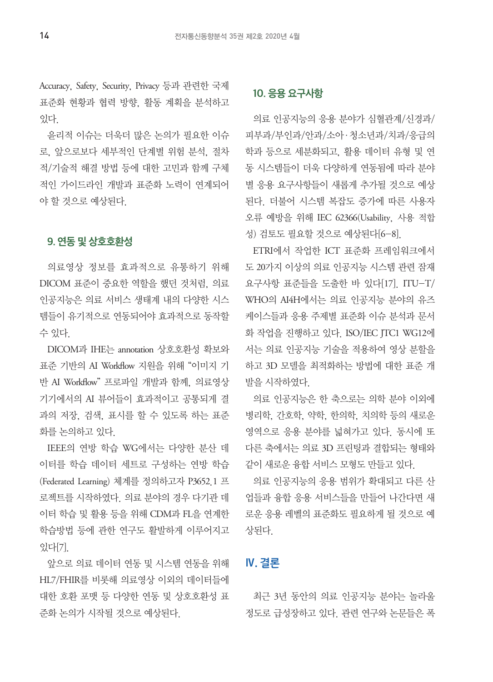Accuracy, Safety, Security, Privacy 등과 관련한 국제 표준화 현황과 협력 방향, 활동 계획을 분석하고 있다.

윤리적 이슈는 더욱더 많은 논의가 필요한 이슈 로, 앞으로보다 세부적인 단계별 위험 분석, 절차 적/기술적 해결 방법 등에 대한 고민과 함께 구체 적인 가이드라인 개발과 표준화 노력이 연계되어 야 할 것으로 예상된다.

# 9. 연동 및 상호호환성

의료영상 정보를 효과적으로 유통하기 위해 DICOM 표준이 중요한 역할을 했던 것처럼, 의료 인공지능은 의료 서비스 생태계 내의 다양한 시스 템들이 유기적으로 연동되어야 효과적으로 동작할 수 있다.

DICOM과 IHE는 annotation 상호호환성 확보와 표준 기반의 AI Workflow 지원을 위해 "이미지 기 반 AI Workflow" 프로파일 개발과 함께, 의료영상 기기에서의 AI 뷰어들이 효과적이고 공통되게 결 과의 저장, 검색, 표시를 할 수 있도록 하는 표준 화를 논의하고 있다.

IEEE의 연방 학습 WG에서는 다양한 분산 데 이터를 학습 데이터 세트로 구성하는 연방 학습 (Federated Learning) 체계를 정의하고자 P3652.1 프 로젝트를 시작하였다. 의료 분야의 경우 다기관 데 이터 학습 및 활용 등을 위해 CDM과 FL을 연계한 학습방법 등에 관한 연구도 활발하게 이루어지고 있다[7].

앞으로 의료 데이터 연동 및 시스템 연동을 위해 HL7/FHIR를 비롯해 의료영상 이외의 데이터들에 대한 호환 포맷 등 다양한 연동 및 상호호환성 표 준화 논의가 시작될 것으로 예상된다.

# 10. 응용 요구사항

의료 인공지능의 응용 분야가 심혈관계/신경과/ 피부과/부인과/안과/소아·청소년과/치과/응급의 학과 등으로 세분화되고, 활용 데이터 유형 및 연 동 시스템들이 더욱 다양하게 연동됨에 따라 분야 별 응용 요구사항들이 새롭게 추가될 것으로 예상 된다. 더불어 시스템 복잡도 증가에 따른 사용자 오류 예방을 위해 IEC 62366(Usability, 사용 적합 성) 검토도 필요할 것으로 예상된다[6-8].

ETRI에서 작업한 ICT 표준화 프레임워크에서 도 20가지 이상의 의료 인공지능 시스템 관련 잠재 요구사항 표준들을 도출한 바 있다[17]. ITU-T/ WHO의 AI4H에서는 의료 인공지능 분야의 유즈 케이스들과 응용 주제별 표준화 이슈 분석과 문서 화 작업을 진행하고 있다. ISO/IEC JTC1 WG12에 서는 의료 인공지능 기술을 적용하여 영상 분할을 하고 3D 모델을 최적화하는 방법에 대한 표준 개 발을 시작하였다.

의료 인공지능은 한 축으로는 의학 분야 이외에 병리학, 간호학, 약학, 한의학, 치의학 등의 새로운 영역으로 응용 분야를 넓혀가고 있다. 동시에 또 다른 축에서는 의료 3D 프린팅과 결합되는 형태와 같이 새로운 융합 서비스 모형도 만들고 있다.

의료 인공지능의 응용 범위가 확대되고 다른 산 업들과 융합 응용 서비스들을 만들어 나간다면 새 로운 응용 레벨의 표준화도 필요하게 될 것으로 예 상된다.

# Ⅳ. 결론

최근 3년 동안의 의료 인공지능 분야는 놀라울 정도로 급성장하고 있다. 관련 연구와 논문들은 폭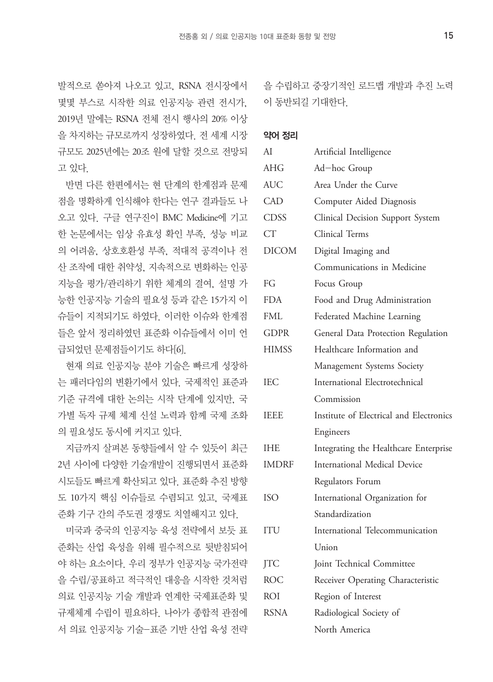발적으로 쏟아져 나오고 있고, RSNA 전시장에서 몇몇 부스로 시작한 의료 인공지능 관련 전시가, 2019년 말에는 RSNA 전체 전시 행사의 20% 이상 을 차지하는 규모로까지 성장하였다. 전 세계 시장 규모도 2025년에는 20조 원에 달할 것으로 전망되 고 있다.

반면 다른 한편에서는 현 단계의 한계점과 문제 점을 명확하게 인식해야 한다는 연구 결과들도 나 오고 있다. 구글 연구진이 BMC Medicine에 기고 한 논문에서는 임상 유효성 확인 부족, 성능 비교 의 어려움, 상호호환성 부족, 적대적 공격이나 전 산 조작에 대한 취약성, 지속적으로 변화하는 인공 지능을 평가/관리하기 위한 체계의 결여, 설명 가 능한 인공지능 기술의 필요성 등과 같은 15가지 이 슈들이 지적되기도 하였다. 이러한 이슈와 한계점 들은 앞서 정리하였던 표준화 이슈들에서 이미 언 급되었던 문제점들이기도 하다[6].

현재 의료 인공지능 분야 기술은 빠르게 성장하 는 패러다임의 변환기에서 있다. 국제적인 표준과 기준 규격에 대한 논의는 시작 단계에 있지만, 국 가별 독자 규제 체계 신설 노력과 함께 국제 조화 의 필요성도 동시에 커지고 있다.

지금까지 살펴본 동향들에서 알 수 있듯이 최근 2년 사이에 다양한 기술개발이 진행되면서 표준화 시도들도 빠르게 확산되고 있다. 표준화 추진 방향 도 10가지 핵심 이슈들로 수렴되고 있고, 국제표 준화 기구 간의 주도권 경쟁도 치열해지고 있다.

미국과 중국의 인공지능 육성 전략에서 보듯 표 준화는 산업 육성을 위해 필수적으로 뒷받침되어 야 하는 요소이다. 우리 정부가 인공지능 국가전략 을 수립/공표하고 적극적인 대응을 시작한 것처럼 의료 인공지능 기술 개발과 연계한 국제표준화 및 규제체계 수립이 필요하다. 나아가 종합적 관점에 서 의료 인공지능 기술-표준 기반 산업 육성 전략 을 수립하고 중장기적인 로드맵 개발과 추진 노력 이 동반되길 기대한다.

### 약어 정리

| AI           |                                         |
|--------------|-----------------------------------------|
|              | Artificial Intelligence                 |
| <b>AHG</b>   | Ad-hoc Group                            |
| <b>AUC</b>   | Area Under the Curve                    |
| <b>CAD</b>   | Computer Aided Diagnosis                |
| <b>CDSS</b>  | Clinical Decision Support System        |
| <b>CT</b>    | Clinical Terms                          |
| <b>DICOM</b> | Digital Imaging and                     |
|              | Communications in Medicine              |
| FG           | Focus Group                             |
| <b>FDA</b>   | Food and Drug Administration            |
| FML          | Federated Machine Learning              |
| <b>GDPR</b>  | General Data Protection Regulation      |
| <b>HIMSS</b> | Healthcare Information and              |
|              | Management Systems Society              |
| <b>IEC</b>   | International Electrotechnical          |
|              | Commission                              |
| <b>IEEE</b>  | Institute of Electrical and Electronics |
|              | Engineers                               |
| <b>IHE</b>   | Integrating the Healthcare Enterprise   |
| <b>IMDRF</b> | <b>International Medical Device</b>     |
|              | Regulators Forum                        |
| <b>ISO</b>   | International Organization for          |
|              | Standardization                         |
| ITU          | International Telecommunication         |
|              | Union                                   |
| <b>JTC</b>   | Joint Technical Committee               |
| <b>ROC</b>   | Receiver Operating Characteristic       |
| ROI          | Region of Interest                      |
| RSNA         | Radiological Society of                 |
|              | North America                           |
|              |                                         |